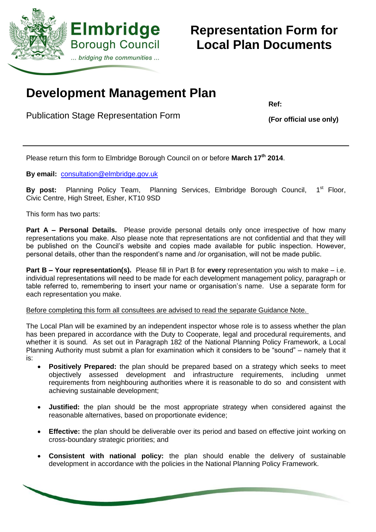

# **Representation Form for Local Plan Documents**

## **Development Management Plan**

Publication Stage Representation Form

**Ref:**

**(For official use only)**

Please return this form to Elmbridge Borough Council on or before **March 17 th 2014**.

**By email:** [consultation@elmbridge.gov.uk](mailto:consultation@elmbridge.gov.uk)

By post: Planning Policy Team, Planning Services, Elmbridge Borough Council, 1<sup>st</sup> Floor, Civic Centre, High Street, Esher, KT10 9SD

This form has two parts:

**Part A – Personal Details.** Please provide personal details only once irrespective of how many representations you make. Also please note that representations are not confidential and that they will be published on the Council's website and copies made available for public inspection. However, personal details, other than the respondent's name and /or organisation, will not be made public.

**Part B – Your representation(s).** Please fill in Part B for **every** representation you wish to make – i.e. individual representations will need to be made for each development management policy, paragraph or table referred to, remembering to insert your name or organisation's name. Use a separate form for each representation you make.

Before completing this form all consultees are advised to read the separate Guidance Note.

The Local Plan will be examined by an independent inspector whose role is to assess whether the plan has been prepared in accordance with the Duty to Cooperate, legal and procedural requirements, and whether it is sound. As set out in Paragraph 182 of the National Planning Policy Framework, a Local Planning Authority must submit a plan for examination which it considers to be "sound" – namely that it is:

- **Positively Prepared:** the plan should be prepared based on a strategy which seeks to meet objectively assessed development and infrastructure requirements, including unmet requirements from neighbouring authorities where it is reasonable to do so and consistent with achieving sustainable development;
- **Justified:** the plan should be the most appropriate strategy when considered against the reasonable alternatives, based on proportionate evidence;
- **Effective:** the plan should be deliverable over its period and based on effective joint working on cross-boundary strategic priorities; and
- **Consistent with national policy:** the plan should enable the delivery of sustainable development in accordance with the policies in the National Planning Policy Framework.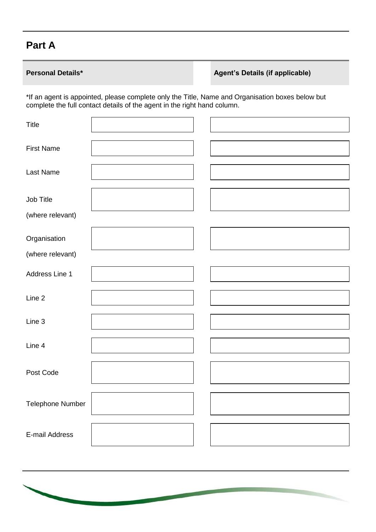## **Part A**

### **Personal Details\* Agent's Details (if applicable)**

\*If an agent is appointed, please complete only the Title, Name and Organisation boxes below but complete the full contact details of the agent in the right hand column.

| <b>First Name</b><br>Last Name |
|--------------------------------|
|                                |
|                                |
| Job Title                      |
| (where relevant)               |
| Organisation                   |
| (where relevant)               |
| Address Line 1                 |
| Line 2                         |
| Line 3                         |
| Line 4                         |
| Post Code                      |
| Telephone Number               |
| E-mail Address                 |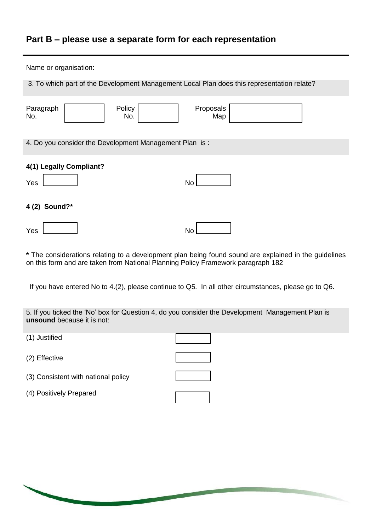### **Part B – please use a separate form for each representation**

| Name or organisation:                                                                      |                  |  |  |
|--------------------------------------------------------------------------------------------|------------------|--|--|
| 3. To which part of the Development Management Local Plan does this representation relate? |                  |  |  |
| Policy<br>Paragraph<br>No.<br>No.                                                          | Proposals<br>Map |  |  |
| 4. Do you consider the Development Management Plan is:                                     |                  |  |  |
| 4(1) Legally Compliant?<br>Yes                                                             | <b>No</b>        |  |  |
| 4 (2) Sound?*                                                                              |                  |  |  |
| Yes                                                                                        | No               |  |  |

**\*** The considerations relating to a development plan being found sound are explained in the guidelines on this form and are taken from National Planning Policy Framework paragraph 182

If you have entered No to 4.(2), please continue to Q5. In all other circumstances, please go to Q6.

5. If you ticked the 'No' box for Question 4, do you consider the Development Management Plan is **unsound** because it is not:

(1) Justified

(2) Effective

- (3) Consistent with national policy
- (4) Positively Prepared

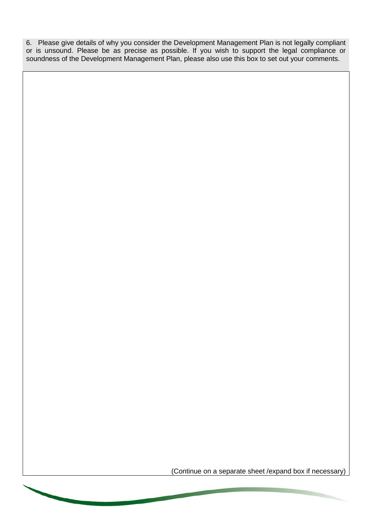6. Please give details of why you consider the Development Management Plan is not legally compliant or is unsound. Please be as precise as possible. If you wish to support the legal compliance or soundness of the Development Management Plan, please also use this box to set out your comments.

(Continue on a separate sheet /expand box if necessary)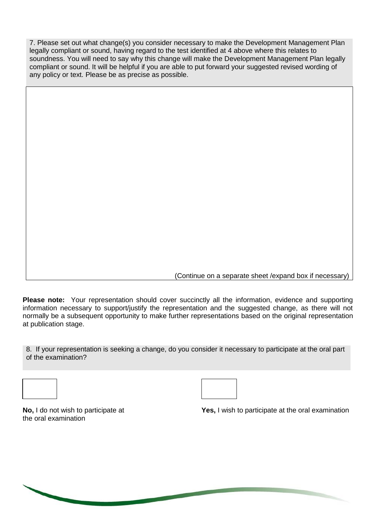7. Please set out what change(s) you consider necessary to make the Development Management Plan legally compliant or sound, having regard to the test identified at 4 above where this relates to soundness. You will need to say why this change will make the Development Management Plan legally compliant or sound. It will be helpful if you are able to put forward your suggested revised wording of any policy or text. Please be as precise as possible.

(Continue on a separate sheet /expand box if necessary)

**Please note:** Your representation should cover succinctly all the information, evidence and supporting information necessary to support/justify the representation and the suggested change, as there will not normally be a subsequent opportunity to make further representations based on the original representation at publication stage.

8. If your representation is seeking a change, do you consider it necessary to participate at the oral part of the examination?



the oral examination

**No,** I do not wish to participate at **Yes,** I wish to participate at the oral examination